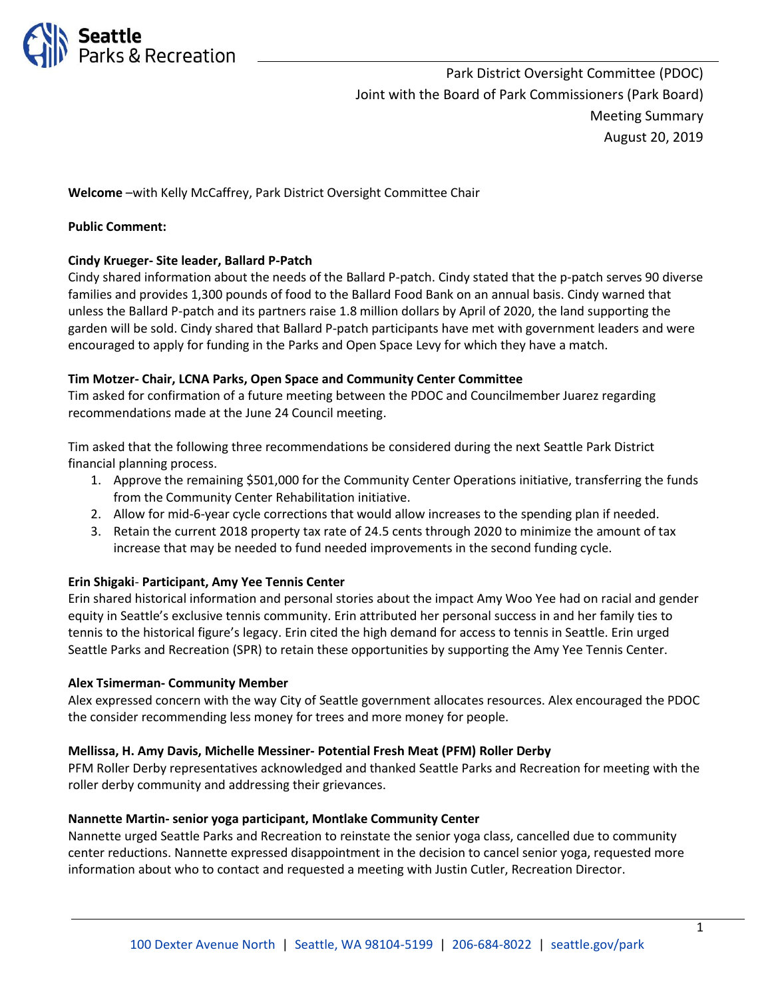

Park District Oversight Committee (PDOC) Joint with the Board of Park Commissioners (Park Board) Meeting Summary August 20, 2019

**Welcome** –with Kelly McCaffrey, Park District Oversight Committee Chair

### **Public Comment:**

### **Cindy Krueger- Site leader, Ballard P-Patch**

Cindy shared information about the needs of the Ballard P-patch. Cindy stated that the p-patch serves 90 diverse families and provides 1,300 pounds of food to the Ballard Food Bank on an annual basis. Cindy warned that unless the Ballard P-patch and its partners raise 1.8 million dollars by April of 2020, the land supporting the garden will be sold. Cindy shared that Ballard P-patch participants have met with government leaders and were encouraged to apply for funding in the Parks and Open Space Levy for which they have a match.

### **Tim Motzer- Chair, LCNA Parks, Open Space and Community Center Committee**

Tim asked for confirmation of a future meeting between the PDOC and Councilmember Juarez regarding recommendations made at the June 24 Council meeting.

Tim asked that the following three recommendations be considered during the next Seattle Park District financial planning process.

- 1. Approve the remaining \$501,000 for the Community Center Operations initiative, transferring the funds from the Community Center Rehabilitation initiative.
- 2. Allow for mid-6-year cycle corrections that would allow increases to the spending plan if needed.
- 3. Retain the current 2018 property tax rate of 24.5 cents through 2020 to minimize the amount of tax increase that may be needed to fund needed improvements in the second funding cycle.

### **Erin Shigaki**- **Participant, Amy Yee Tennis Center**

Erin shared historical information and personal stories about the impact Amy Woo Yee had on racial and gender equity in Seattle's exclusive tennis community. Erin attributed her personal success in and her family ties to tennis to the historical figure's legacy. Erin cited the high demand for access to tennis in Seattle. Erin urged Seattle Parks and Recreation (SPR) to retain these opportunities by supporting the Amy Yee Tennis Center.

### **Alex Tsimerman- Community Member**

Alex expressed concern with the way City of Seattle government allocates resources. Alex encouraged the PDOC the consider recommending less money for trees and more money for people.

### **Mellissa, H. Amy Davis, Michelle Messiner- Potential Fresh Meat (PFM) Roller Derby**

PFM Roller Derby representatives acknowledged and thanked Seattle Parks and Recreation for meeting with the roller derby community and addressing their grievances.

### **Nannette Martin- senior yoga participant, Montlake Community Center**

Nannette urged Seattle Parks and Recreation to reinstate the senior yoga class, cancelled due to community center reductions. Nannette expressed disappointment in the decision to cancel senior yoga, requested more information about who to contact and requested a meeting with Justin Cutler, Recreation Director.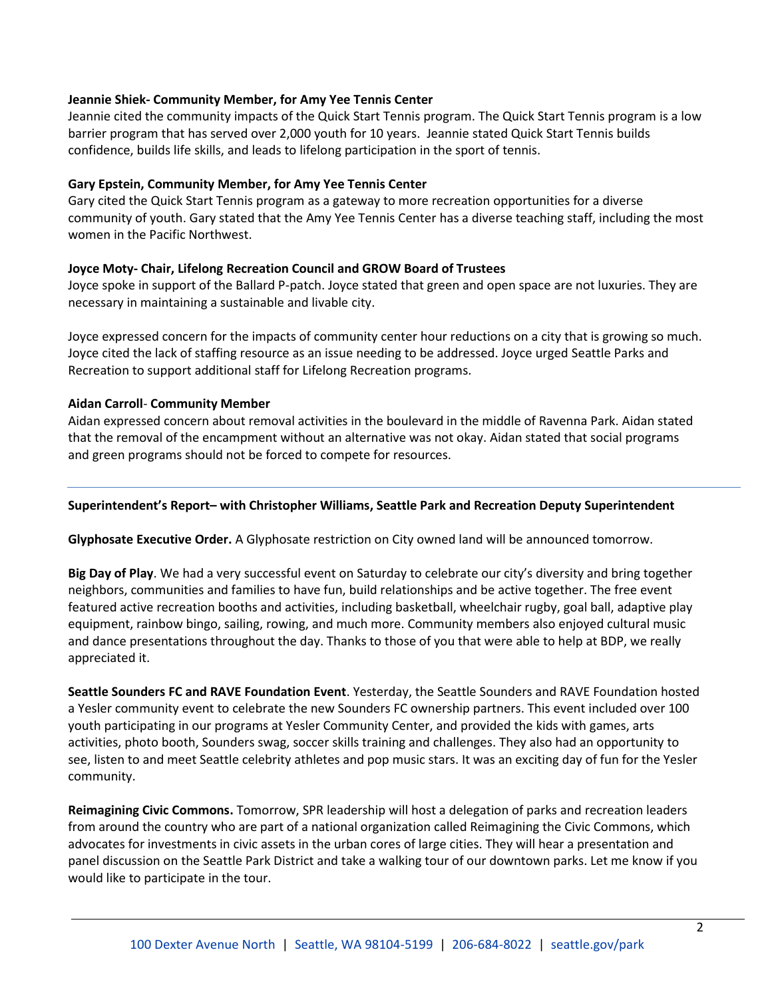### **Jeannie Shiek- Community Member, for Amy Yee Tennis Center**

Jeannie cited the community impacts of the Quick Start Tennis program. The Quick Start Tennis program is a low barrier program that has served over 2,000 youth for 10 years. Jeannie stated Quick Start Tennis builds confidence, builds life skills, and leads to lifelong participation in the sport of tennis.

## **Gary Epstein, Community Member, for Amy Yee Tennis Center**

Gary cited the Quick Start Tennis program as a gateway to more recreation opportunities for a diverse community of youth. Gary stated that the Amy Yee Tennis Center has a diverse teaching staff, including the most women in the Pacific Northwest.

### **Joyce Moty- Chair, Lifelong Recreation Council and GROW Board of Trustees**

Joyce spoke in support of the Ballard P-patch. Joyce stated that green and open space are not luxuries. They are necessary in maintaining a sustainable and livable city.

Joyce expressed concern for the impacts of community center hour reductions on a city that is growing so much. Joyce cited the lack of staffing resource as an issue needing to be addressed. Joyce urged Seattle Parks and Recreation to support additional staff for Lifelong Recreation programs.

### **Aidan Carroll**- **Community Member**

Aidan expressed concern about removal activities in the boulevard in the middle of Ravenna Park. Aidan stated that the removal of the encampment without an alternative was not okay. Aidan stated that social programs and green programs should not be forced to compete for resources.

### **Superintendent's Report– with Christopher Williams, Seattle Park and Recreation Deputy Superintendent**

**Glyphosate Executive Order.** A Glyphosate restriction on City owned land will be announced tomorrow.

**Big Day of Play**. We had a very successful event on Saturday to celebrate our city's diversity and bring together neighbors, communities and families to have fun, build relationships and be active together. The free event featured active recreation booths and activities, including basketball, wheelchair rugby, goal ball, adaptive play equipment, rainbow bingo, sailing, rowing, and much more. Community members also enjoyed cultural music and dance presentations throughout the day. Thanks to those of you that were able to help at BDP, we really appreciated it.

**Seattle Sounders FC and RAVE Foundation Event**. Yesterday, the Seattle Sounders and RAVE Foundation hosted a Yesler community event to celebrate the new Sounders FC ownership partners. This event included over 100 youth participating in our programs at Yesler Community Center, and provided the kids with games, arts activities, photo booth, Sounders swag, soccer skills training and challenges. They also had an opportunity to see, listen to and meet Seattle celebrity athletes and pop music stars. It was an exciting day of fun for the Yesler community.

**Reimagining Civic Commons.** Tomorrow, SPR leadership will host a delegation of parks and recreation leaders from around the country who are part of a national organization called Reimagining the Civic Commons, which advocates for investments in civic assets in the urban cores of large cities. They will hear a presentation and panel discussion on the Seattle Park District and take a walking tour of our downtown parks. Let me know if you would like to participate in the tour.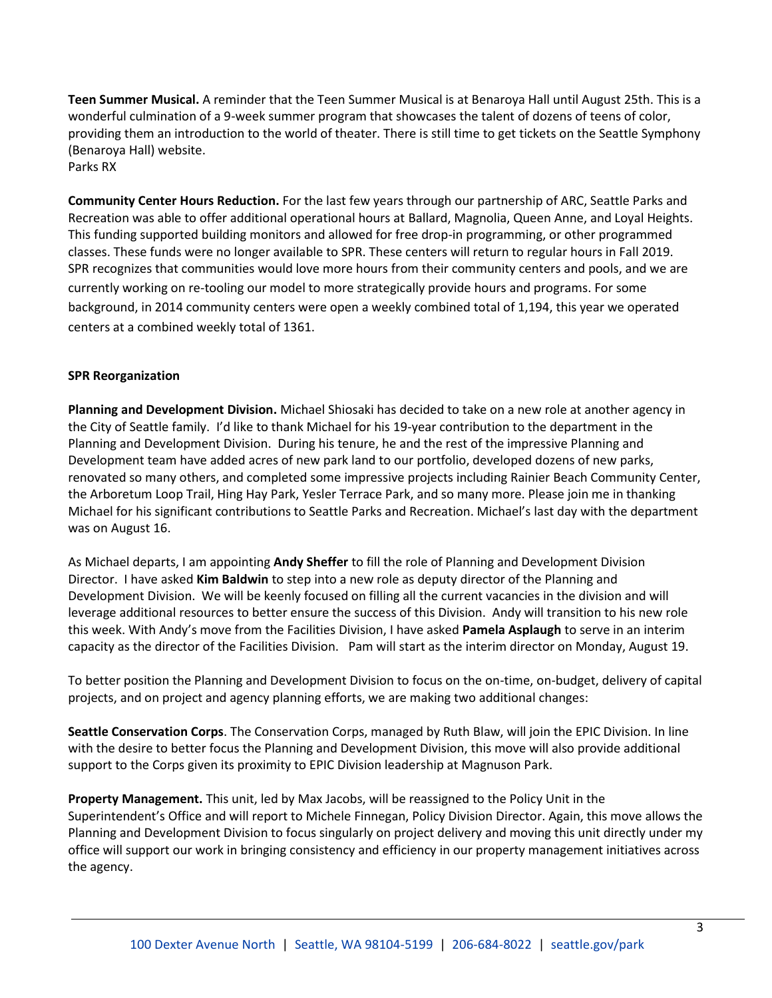**Teen Summer Musical.** A reminder that the Teen Summer Musical is at Benaroya Hall until August 25th. This is a wonderful culmination of a 9-week summer program that showcases the talent of dozens of teens of color, providing them an introduction to the world of theater. There is still time to get tickets on the Seattle Symphony (Benaroya Hall) website. Parks RX

**Community Center Hours Reduction.** For the last few years through our partnership of ARC, Seattle Parks and Recreation was able to offer additional operational hours at Ballard, Magnolia, Queen Anne, and Loyal Heights. This funding supported building monitors and allowed for free drop-in programming, or other programmed classes. These funds were no longer available to SPR. These centers will return to regular hours in Fall 2019. SPR recognizes that communities would love more hours from their community centers and pools, and we are currently working on re-tooling our model to more strategically provide hours and programs. For some background, in 2014 community centers were open a weekly combined total of 1,194, this year we operated centers at a combined weekly total of 1361.

# **SPR Reorganization**

**Planning and Development Division.** Michael Shiosaki has decided to take on a new role at another agency in the City of Seattle family. I'd like to thank Michael for his 19-year contribution to the department in the Planning and Development Division. During his tenure, he and the rest of the impressive Planning and Development team have added acres of new park land to our portfolio, developed dozens of new parks, renovated so many others, and completed some impressive projects including Rainier Beach Community Center, the Arboretum Loop Trail, Hing Hay Park, Yesler Terrace Park, and so many more. Please join me in thanking Michael for his significant contributions to Seattle Parks and Recreation. Michael's last day with the department was on August 16.

As Michael departs, I am appointing **Andy Sheffer** to fill the role of Planning and Development Division Director. I have asked **Kim Baldwin** to step into a new role as deputy director of the Planning and Development Division. We will be keenly focused on filling all the current vacancies in the division and will leverage additional resources to better ensure the success of this Division. Andy will transition to his new role this week. With Andy's move from the Facilities Division, I have asked **Pamela Asplaugh** to serve in an interim capacity as the director of the Facilities Division. Pam will start as the interim director on Monday, August 19.

To better position the Planning and Development Division to focus on the on-time, on-budget, delivery of capital projects, and on project and agency planning efforts, we are making two additional changes:

**Seattle Conservation Corps**. The Conservation Corps, managed by Ruth Blaw, will join the EPIC Division. In line with the desire to better focus the Planning and Development Division, this move will also provide additional support to the Corps given its proximity to EPIC Division leadership at Magnuson Park.

**Property Management.** This unit, led by Max Jacobs, will be reassigned to the Policy Unit in the Superintendent's Office and will report to Michele Finnegan, Policy Division Director. Again, this move allows the Planning and Development Division to focus singularly on project delivery and moving this unit directly under my office will support our work in bringing consistency and efficiency in our property management initiatives across the agency.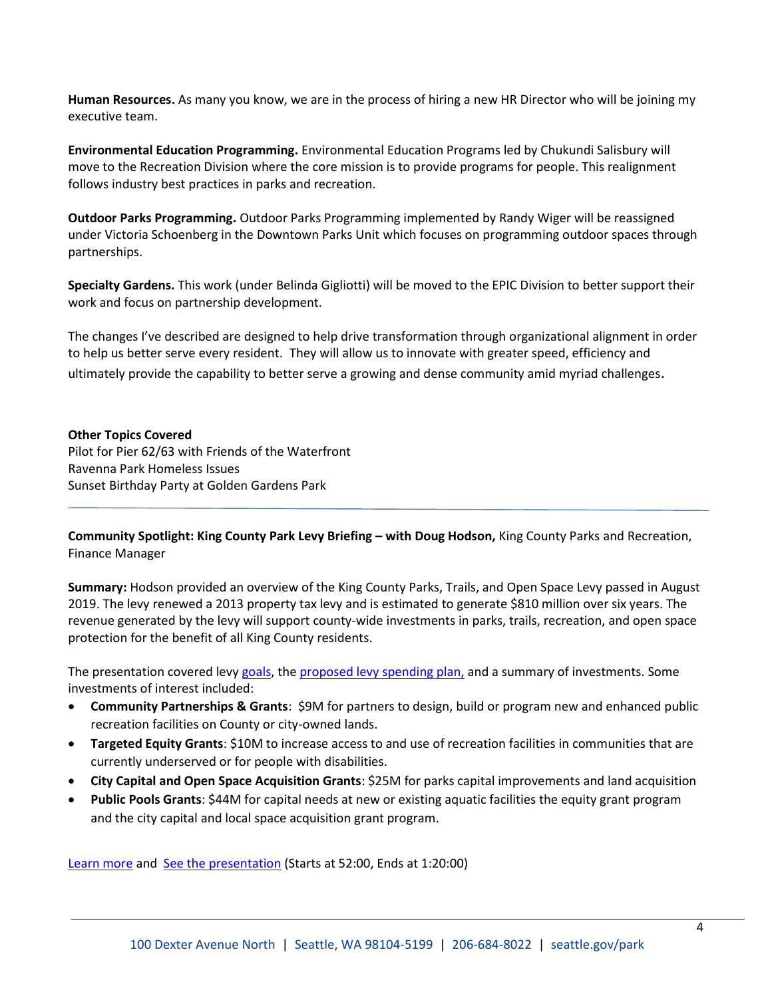**Human Resources.** As many you know, we are in the process of hiring a new HR Director who will be joining my executive team.

**Environmental Education Programming.** Environmental Education Programs led by Chukundi Salisbury will move to the Recreation Division where the core mission is to provide programs for people. This realignment follows industry best practices in parks and recreation.

**Outdoor Parks Programming.** Outdoor Parks Programming implemented by Randy Wiger will be reassigned under Victoria Schoenberg in the Downtown Parks Unit which focuses on programming outdoor spaces through partnerships.

**Specialty Gardens.** This work (under Belinda Gigliotti) will be moved to the EPIC Division to better support their work and focus on partnership development.

The changes I've described are designed to help drive transformation through organizational alignment in order to help us better serve every resident. They will allow us to innovate with greater speed, efficiency and ultimately provide the capability to better serve a growing and dense community amid myriad challenges.

### **Other Topics Covered**

Pilot for Pier 62/63 with Friends of the Waterfront Ravenna Park Homeless Issues Sunset Birthday Party at Golden Gardens Park

**Community Spotlight: King County Park Levy Briefing – with Doug Hodson,** King County Parks and Recreation, Finance Manager

**Summary:** Hodson provided an overview of the King County Parks, Trails, and Open Space Levy passed in August 2019. The levy renewed a 2013 property tax levy and is estimated to generate \$810 million over six years. The revenue generated by the levy will support county-wide investments in parks, trails, recreation, and open space protection for the benefit of all King County residents.

The presentation covered levy [goals,](PPT/Community%20Learning%20Centers_Park%20Board%20Presentation%20Aug%202019.pptx) th[e proposed levy spending plan,](Seattle%20%20Parks%20Levy%20Informational%20Sheet.docx) and a summary of investments. Some investments of interest included:

- **Community Partnerships & Grants**: \$9M for partners to design, build or program new and enhanced public recreation facilities on County or city-owned lands.
- **Targeted Equity Grants**: \$10M to increase access to and use of recreation facilities in communities that are currently underserved or for people with disabilities.
- **City Capital and Open Space Acquisition Grants**: \$25M for parks capital improvements and land acquisition
- **Public Pools Grants**: \$44M for capital needs at new or existing aquatic facilities the equity grant program and the city capital and local space acquisition grant program.

[Learn more](https://www.kingcounty.gov/services/parks-recreation/parks/about/levy.aspx) and [See the presentation](http://www.seattlechannel.org/parksBoard/?videoid=x106499) (Starts at 52:00, Ends at 1:20:00)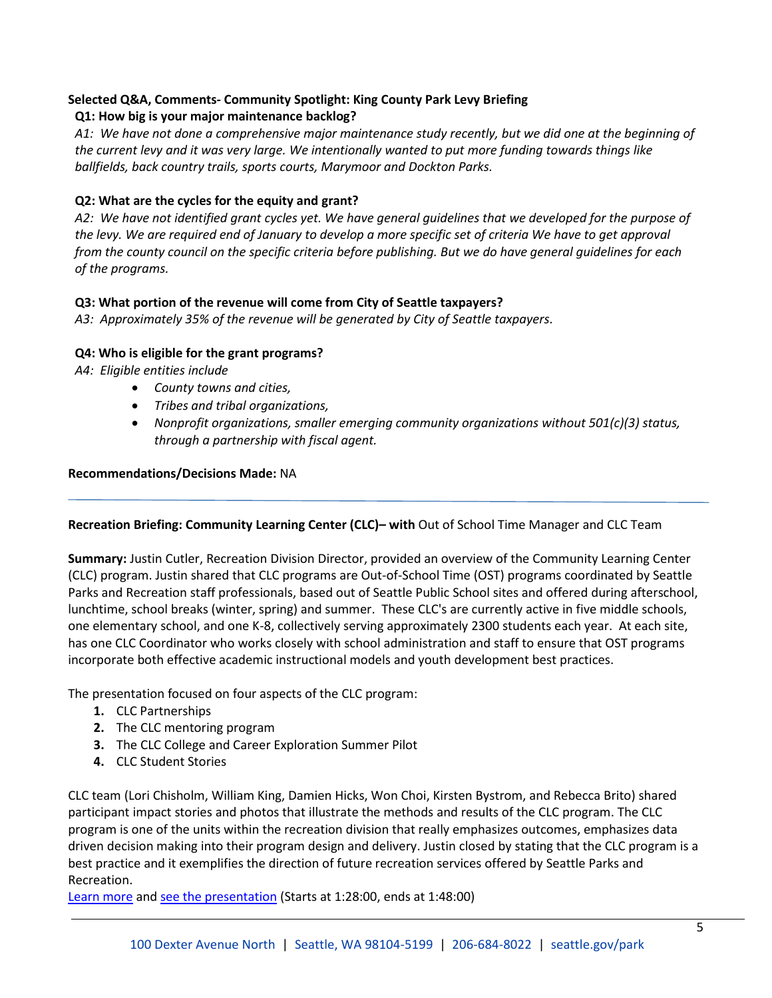# **Selected Q&A, Comments- Community Spotlight: King County Park Levy Briefing**

# **Q1: How big is your major maintenance backlog?**

*A1: We have not done a comprehensive major maintenance study recently, but we did one at the beginning of the current levy and it was very large. We intentionally wanted to put more funding towards things like ballfields, back country trails, sports courts, Marymoor and Dockton Parks.*

# **Q2: What are the cycles for the equity and grant?**

*A2: We have not identified grant cycles yet. We have general guidelines that we developed for the purpose of the levy. We are required end of January to develop a more specific set of criteria We have to get approval from the county council on the specific criteria before publishing. But we do have general guidelines for each of the programs.*

# **Q3: What portion of the revenue will come from City of Seattle taxpayers?**

*A3: Approximately 35% of the revenue will be generated by City of Seattle taxpayers.*

# **Q4: Who is eligible for the grant programs?**

*A4: Eligible entities include*

- *County towns and cities,*
- *Tribes and tribal organizations,*
- *Nonprofit organizations, smaller emerging community organizations without 501(c)(3) status, through a partnership with fiscal agent.*

# **Recommendations/Decisions Made:** NA

# **Recreation Briefing: Community Learning Center (CLC)– with** Out of School Time Manager and CLC Team

**Summary:** Justin Cutler, Recreation Division Director, provided an overview of the Community Learning Center (CLC) program. Justin shared that CLC programs are Out-of-School Time (OST) programs coordinated by Seattle Parks and Recreation staff professionals, based out of Seattle Public School sites and offered during afterschool, lunchtime, school breaks (winter, spring) and summer. These CLC's are currently active in five middle schools, one elementary school, and one K-8, collectively serving approximately 2300 students each year. At each site, has one CLC Coordinator who works closely with school administration and staff to ensure that OST programs incorporate both effective academic instructional models and youth development best practices.

The presentation focused on four aspects of the CLC program:

- **1.** CLC Partnerships
- **2.** The CLC mentoring program
- **3.** The CLC College and Career Exploration Summer Pilot
- **4.** CLC Student Stories

CLC team (Lori Chisholm, William King, Damien Hicks, Won Choi, Kirsten Bystrom, and Rebecca Brito) shared participant impact stories and photos that illustrate the methods and results of the CLC program. The CLC program is one of the units within the recreation division that really emphasizes outcomes, emphasizes data driven decision making into their program design and delivery. Justin closed by stating that the CLC program is a best practice and it exemplifies the direction of future recreation services offered by Seattle Parks and Recreation.

[Learn more](http://www.seattle.gov/Documents/Departments/ParksAndRecreation/PDOC/Agendas/PDOCBriefingPaperOSTCLC080519.pdf) and [see the presentation](http://www.seattlechannel.org/parksBoard/?videoid=x106499) (Starts at 1:28:00, ends at 1:48:00)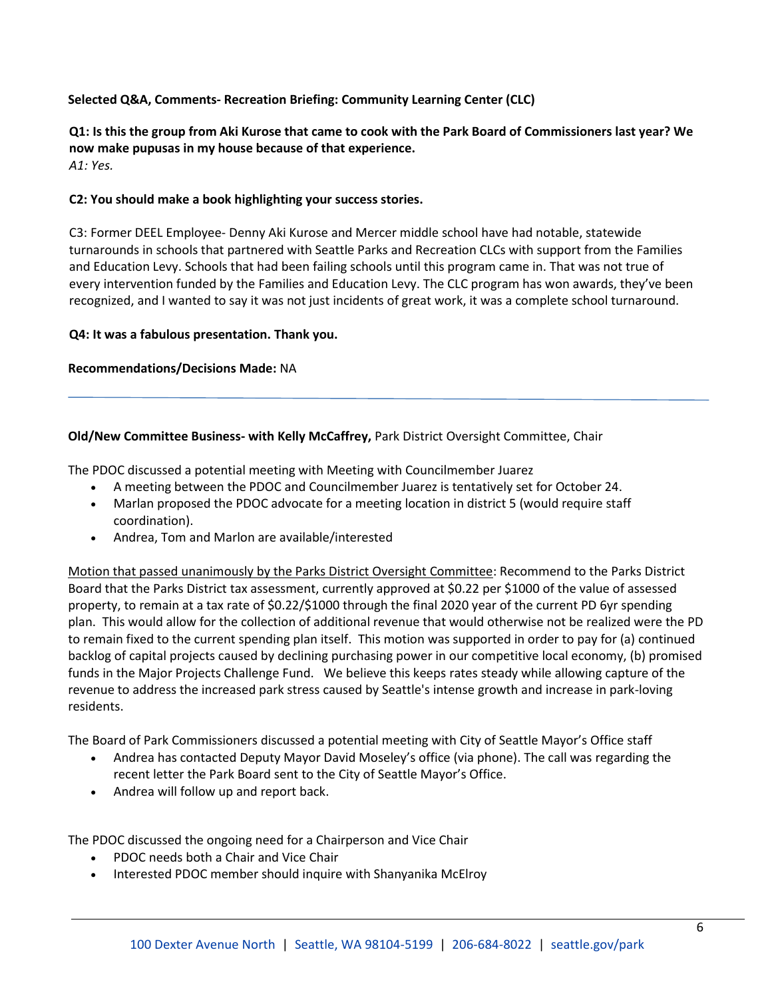# **Selected Q&A, Comments- Recreation Briefing: Community Learning Center (CLC)**

**Q1: Is this the group from Aki Kurose that came to cook with the Park Board of Commissioners last year? We now make pupusas in my house because of that experience.** *A1: Yes.* 

# **C2: You should make a book highlighting your success stories.**

C3: Former DEEL Employee- Denny Aki Kurose and Mercer middle school have had notable, statewide turnarounds in schools that partnered with Seattle Parks and Recreation CLCs with support from the Families and Education Levy. Schools that had been failing schools until this program came in. That was not true of every intervention funded by the Families and Education Levy. The CLC program has won awards, they've been recognized, and I wanted to say it was not just incidents of great work, it was a complete school turnaround.

### **Q4: It was a fabulous presentation. Thank you.**

### **Recommendations/Decisions Made:** NA

# **Old/New Committee Business- with Kelly McCaffrey,** Park District Oversight Committee, Chair

The PDOC discussed a potential meeting with Meeting with Councilmember Juarez

- A meeting between the PDOC and Councilmember Juarez is tentatively set for October 24.
- Marlan proposed the PDOC advocate for a meeting location in district 5 (would require staff coordination).
- Andrea, Tom and Marlon are available/interested

Motion that passed unanimously by the Parks District Oversight Committee: Recommend to the Parks District Board that the Parks District tax assessment, currently approved at \$0.22 per \$1000 of the value of assessed property, to remain at a tax rate of \$0.22/\$1000 through the final 2020 year of the current PD 6yr spending plan. This would allow for the collection of additional revenue that would otherwise not be realized were the PD to remain fixed to the current spending plan itself. This motion was supported in order to pay for (a) continued backlog of capital projects caused by declining purchasing power in our competitive local economy, (b) promised funds in the Major Projects Challenge Fund. We believe this keeps rates steady while allowing capture of the revenue to address the increased park stress caused by Seattle's intense growth and increase in park-loving residents.

The Board of Park Commissioners discussed a potential meeting with City of Seattle Mayor's Office staff

- Andrea has contacted Deputy Mayor David Moseley's office (via phone). The call was regarding the recent letter the Park Board sent to the City of Seattle Mayor's Office.
- Andrea will follow up and report back.

The PDOC discussed the ongoing need for a Chairperson and Vice Chair

- PDOC needs both a Chair and Vice Chair
- Interested PDOC member should inquire with Shanyanika McElroy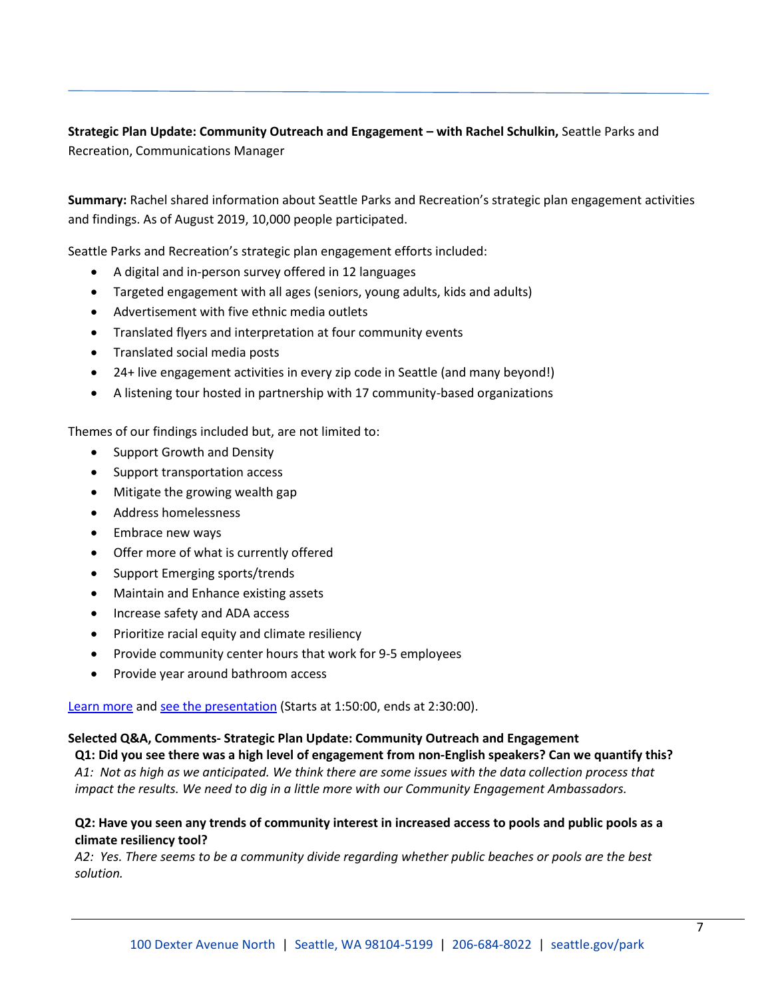**Strategic Plan Update: Community Outreach and Engagement – with Rachel Schulkin,** Seattle Parks and Recreation, Communications Manager

**Summary:** Rachel shared information about Seattle Parks and Recreation's strategic plan engagement activities and findings. As of August 2019, 10,000 people participated.

Seattle Parks and Recreation's strategic plan engagement efforts included:

- A digital and in-person survey offered in 12 languages
- Targeted engagement with all ages (seniors, young adults, kids and adults)
- Advertisement with five ethnic media outlets
- Translated flyers and interpretation at four community events
- Translated social media posts
- 24+ live engagement activities in every zip code in Seattle (and many beyond!)
- A listening tour hosted in partnership with 17 community-based organizations

Themes of our findings included but, are not limited to:

- Support Growth and Density
- Support transportation access
- Mitigate the growing wealth gap
- Address homelessness
- Embrace new ways
- Offer more of what is currently offered
- Support Emerging sports/trends
- Maintain and Enhance existing assets
- Increase safety and ADA access
- Prioritize racial equity and climate resiliency
- Provide community center hours that work for 9-5 employees
- Provide year around bathroom access

[Learn more](http://www.seattle.gov/Documents/Departments/ParksAndRecreation/PDOC/Agendas/PDOCBriefingPaperOSTCLC080519.pdf) and [see the presentation](http://www.seattlechannel.org/parksBoard/?videoid=x106499) (Starts at 1:50:00, ends at 2:30:00).

### **Selected Q&A, Comments- Strategic Plan Update: Community Outreach and Engagement**

**Q1: Did you see there was a high level of engagement from non-English speakers? Can we quantify this?** *A1: Not as high as we anticipated. We think there are some issues with the data collection process that impact the results. We need to dig in a little more with our Community Engagement Ambassadors.*

# **Q2: Have you seen any trends of community interest in increased access to pools and public pools as a climate resiliency tool?**

*A2: Yes. There seems to be a community divide regarding whether public beaches or pools are the best solution.*